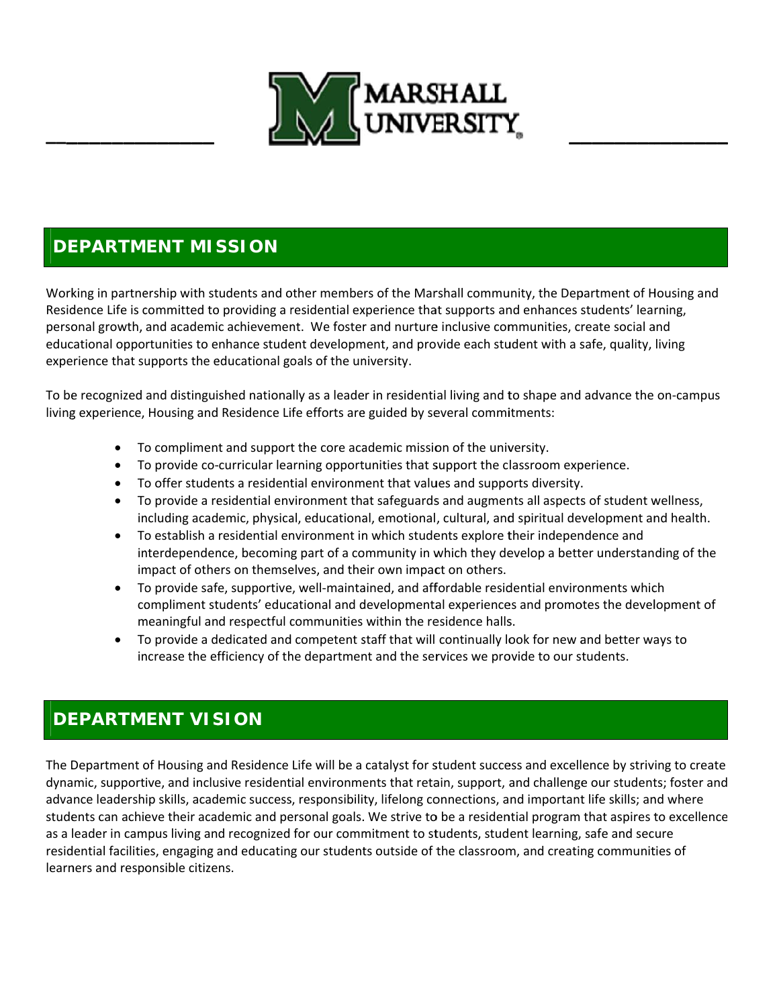

## **DEPARTMENT MISSION**

Working in partnership with students and other members of the Marshall community, the Department of Housing and Residence Life is committed to providing a residential experience that supports and enhances students' learning, personal growth, and academic achievement. We foster and nurture inclusive communities, create social and educational opportunities to enhance student development, and provide each student with a safe, quality, living experience that supports the educational goals of the university.

To be recognized and distinguished nationally as a leader in residential living and to shape and advance the on-campus living experience, Housing and Residence Life efforts are guided by several commitments:

- To compliment and support the core academic mission of the university.
- To provide co-curricular learning opportunities that support the classroom experience.
- To offer students a residential environment that values and supports diversity.
- To provide a residential environment that safeguards and augments all aspects of student wellness, including academic, physical, educational, emotional, cultural, and spiritual development and health.
- To establish a residential environment in which students explore their independence and interdependence, becoming part of a community in which they develop a better understanding of the impact of others on themselves, and their own impact on others.
- To provide safe, supportive, well-maintained, and affordable residential environments which compliment students' educational and developmental experiences and promotes the development of meaningful and respectful communities within the residence halls.
- To provide a dedicated and competent staff that will continually look for new and better ways to increase the efficiency of the department and the services we provide to our students.

## **DEPARTMENT VISION**

The Department of Housing and Residence Life will be a catalyst for student success and excellence by striving to create dynamic, supportive, and inclusive residential environments that retain, support, and challenge our students; foster and advance leadership skills, academic success, responsibility, lifelong connections, and important life skills; and where students can achieve their academic and personal goals. We strive to be a residential program that aspires to excellence as a leader in campus living and recognized for our commitment to students, student learning, safe and secure residential facilities, engaging and educating our students outside of the classroom, and creating communities of learners and responsible citizens.